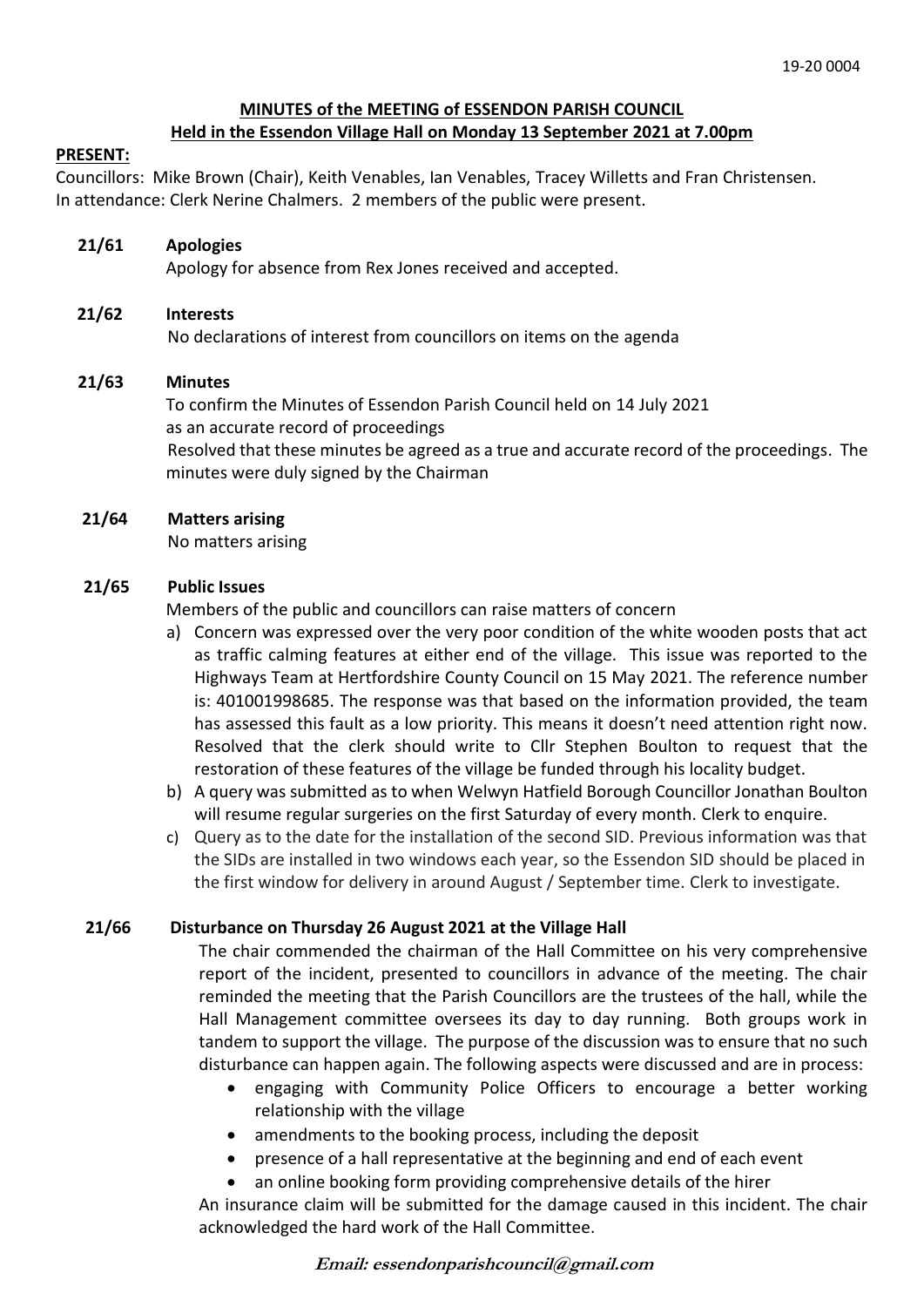## **MINUTES of the MEETING of ESSENDON PARISH COUNCIL Held in the Essendon Village Hall on Monday 13 September 2021 at 7.00pm**

### **PRESENT:**

Councillors: Mike Brown (Chair), Keith Venables, Ian Venables, Tracey Willetts and Fran Christensen. In attendance: Clerk Nerine Chalmers. 2 members of the public were present.

### **21/61 Apologies**

Apology for absence from Rex Jones received and accepted.

### **21/62 Interests**

No declarations of interest from councillors on items on the agenda

### **21/63 Minutes**

 To confirm the Minutes of Essendon Parish Council held on 14 July 2021 as an accurate record of proceedings Resolved that these minutes be agreed as a true and accurate record of the proceedings. The minutes were duly signed by the Chairman

### **21/64 Matters arising**

No matters arising

### **21/65 Public Issues**

Members of the public and councillors can raise matters of concern

- a) Concern was expressed over the very poor condition of the white wooden posts that act as traffic calming features at either end of the village. This issue was reported to the Highways Team at Hertfordshire County Council on 15 May 2021. The reference number is: 401001998685. The response was that based on the information provided, the team has assessed this fault as a low priority. This means it doesn't need attention right now. Resolved that the clerk should write to Cllr Stephen Boulton to request that the restoration of these features of the village be funded through his locality budget.
- b) A query was submitted as to when Welwyn Hatfield Borough Councillor Jonathan Boulton will resume regular surgeries on the first Saturday of every month. Clerk to enquire.
- c) Query as to the date for the installation of the second SID. Previous information was that the SIDs are installed in two windows each year, so the Essendon SID should be placed in the first window for delivery in around August / September time. Clerk to investigate.

### **21/66 Disturbance on Thursday 26 August 2021 at the Village Hall**

The chair commended the chairman of the Hall Committee on his very comprehensive report of the incident, presented to councillors in advance of the meeting. The chair reminded the meeting that the Parish Councillors are the trustees of the hall, while the Hall Management committee oversees its day to day running. Both groups work in tandem to support the village. The purpose of the discussion was to ensure that no such disturbance can happen again. The following aspects were discussed and are in process:

- engaging with Community Police Officers to encourage a better working relationship with the village
- amendments to the booking process, including the deposit
- presence of a hall representative at the beginning and end of each event
- an online booking form providing comprehensive details of the hirer

An insurance claim will be submitted for the damage caused in this incident. The chair acknowledged the hard work of the Hall Committee.

### **Email: essendonparishcouncil@gmail.com**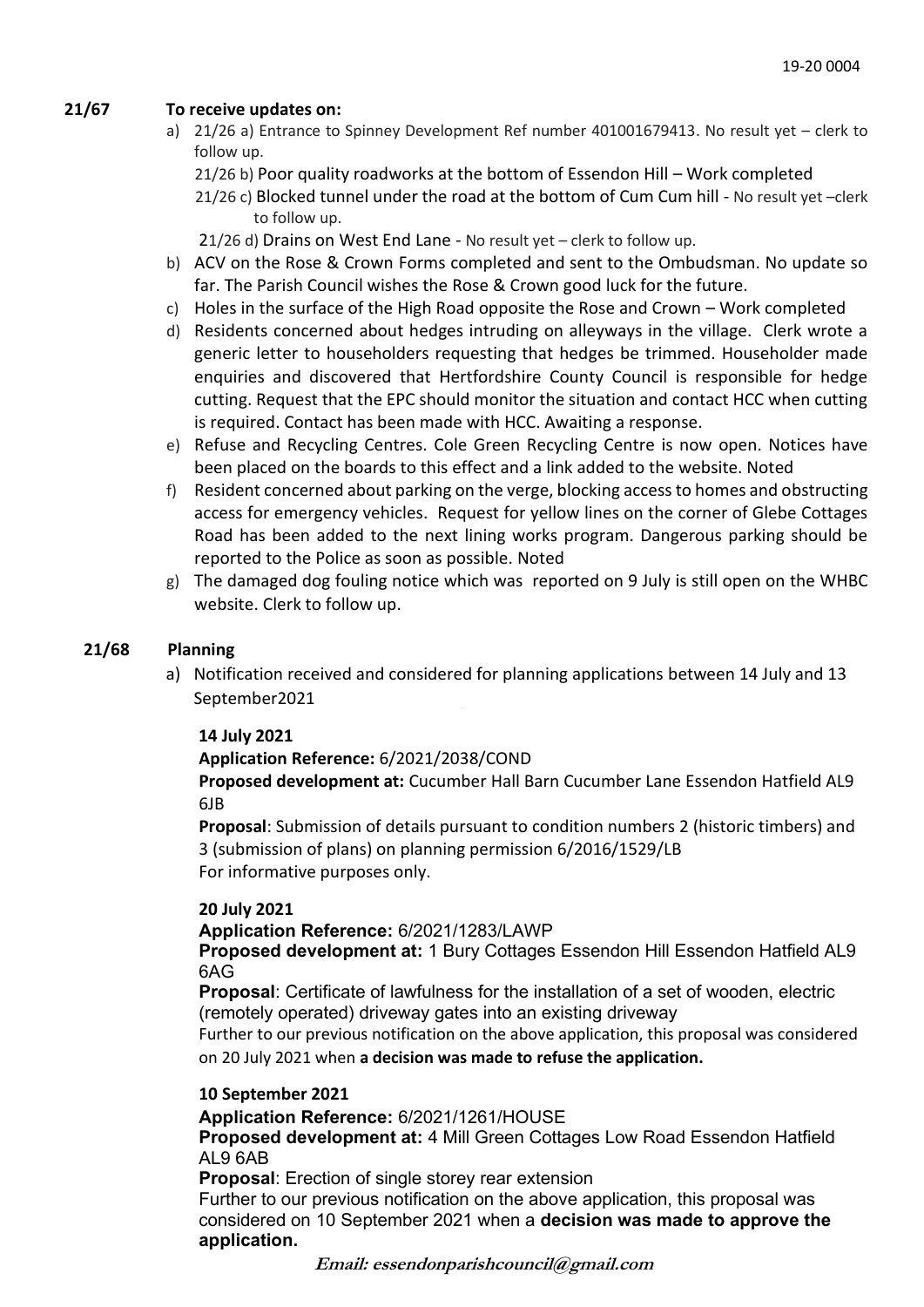# **21/67 To receive updates on:**

- a) 21/26 a) Entrance to Spinney Development Ref number 401001679413. No result yet clerk to follow up.
	- 21/26 b) Poor quality roadworks at the bottom of Essendon Hill Work completed

 21/26 c) Blocked tunnel under the road at the bottom of Cum Cum hill - No result yet –clerk to follow up.

21/26 d) Drains on West End Lane - No result yet – clerk to follow up.

- b) ACV on the Rose & Crown Forms completed and sent to the Ombudsman. No update so far. The Parish Council wishes the Rose & Crown good luck for the future.
- c) Holes in the surface of the High Road opposite the Rose and Crown Work completed
- d) Residents concerned about hedges intruding on alleyways in the village. Clerk wrote a generic letter to householders requesting that hedges be trimmed. Householder made enquiries and discovered that Hertfordshire County Council is responsible for hedge cutting. Request that the EPC should monitor the situation and contact HCC when cutting is required. Contact has been made with HCC. Awaiting a response.
- e) Refuse and Recycling Centres. Cole Green Recycling Centre is now open. Notices have been placed on the boards to this effect and a link added to the website. Noted
- f) Resident concerned about parking on the verge, blocking access to homes and obstructing access for emergency vehicles. Request for yellow lines on the corner of Glebe Cottages Road has been added to the next lining works program. Dangerous parking should be reported to the Police as soon as possible. Noted
- g) The damaged dog fouling notice which was reported on 9 July is still open on the WHBC website. Clerk to follow up.

## **21/68 Planning**

a) Notification received and considered for planning applications between 14 July and 13 September2021

### **14 July 2021**

# **Application Reference:** 6/2021/2038/COND

**Proposed development at:** Cucumber Hall Barn Cucumber Lane Essendon Hatfield AL9 6JB

**Proposal**: Submission of details pursuant to condition numbers 2 (historic timbers) and 3 (submission of plans) on planning permission 6/2016/1529/LB For informative purposes only.

# **20 July 2021**

**Application Reference:** 6/2021/1283/LAWP

**Proposed development at:** 1 Bury Cottages Essendon Hill Essendon Hatfield AL9 6AG

**Proposal**: Certificate of lawfulness for the installation of a set of wooden, electric (remotely operated) driveway gates into an existing driveway

Further to our previous notification on the above application, this proposal was considered on 20 July 2021 when **a decision was made to refuse the application.**

# **10 September 2021**

**Application Reference:** 6/2021/1261/HOUSE

**Proposed development at:** 4 Mill Green Cottages Low Road Essendon Hatfield AL9 6AB

**Proposal**: Erection of single storey rear extension

Further to our previous notification on the above application, this proposal was considered on 10 September 2021 when a **decision was made to approve the application.**

**Email: essendonparishcouncil@gmail.com**